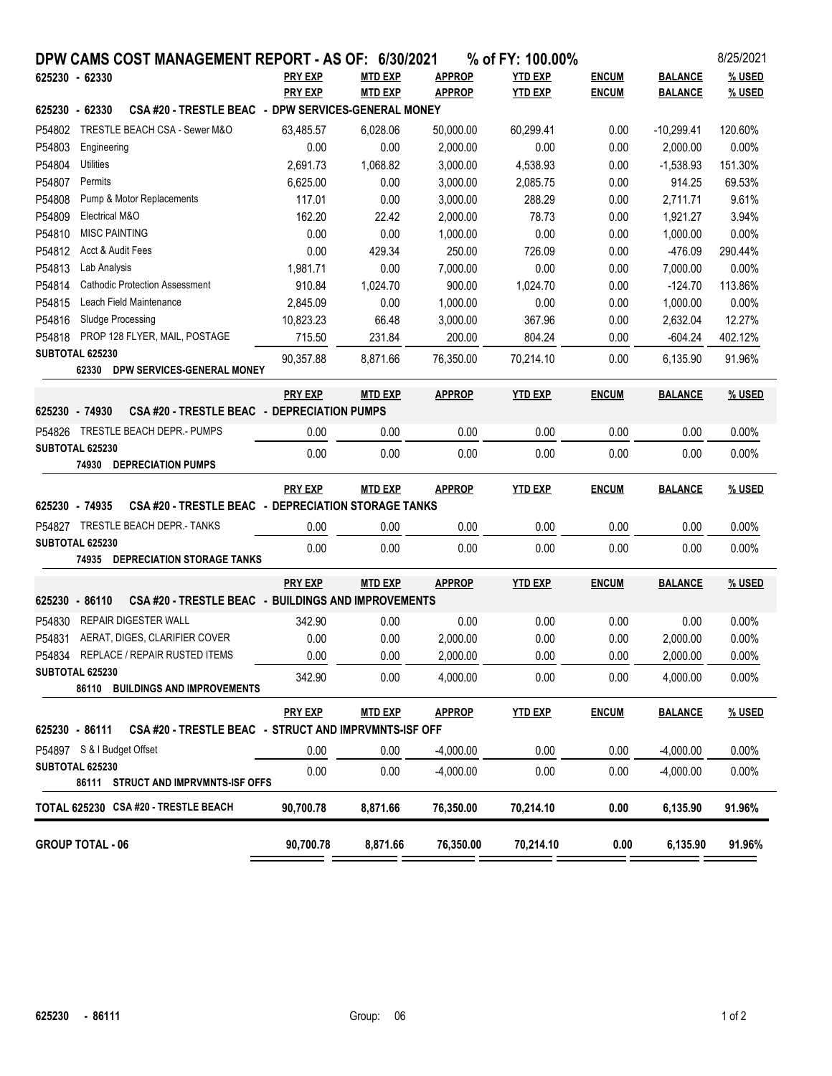|                                                                       |                | DPW CAMS COST MANAGEMENT REPORT - AS OF: 6/30/2021 |               | % of FY: 100.00% |              |                | 8/25/2021 |
|-----------------------------------------------------------------------|----------------|----------------------------------------------------|---------------|------------------|--------------|----------------|-----------|
| 625230 - 62330                                                        | <b>PRY EXP</b> | <b>MTD EXP</b>                                     | <b>APPROP</b> | <b>YTD EXP</b>   | <b>ENCUM</b> | <b>BALANCE</b> | % USED    |
|                                                                       | <b>PRY EXP</b> | <b>MTD EXP</b>                                     | <b>APPROP</b> | <b>YTD EXP</b>   | <b>ENCUM</b> | <b>BALANCE</b> | % USED    |
| CSA #20 - TRESTLE BEAC - DPW SERVICES-GENERAL MONEY<br>625230 - 62330 |                |                                                    |               |                  |              |                |           |
| TRESTLE BEACH CSA - Sewer M&O<br>P54802                               | 63,485.57      | 6,028.06                                           | 50,000.00     | 60,299.41        | 0.00         | $-10,299.41$   | 120.60%   |
| P54803<br>Engineering                                                 | 0.00           | 0.00                                               | 2,000.00      | 0.00             | 0.00         | 2,000.00       | 0.00%     |
| P54804<br>Utilities                                                   | 2,691.73       | 1,068.82                                           | 3,000.00      | 4,538.93         | 0.00         | $-1,538.93$    | 151.30%   |
| P54807<br>Permits                                                     | 6,625.00       | 0.00                                               | 3,000.00      | 2,085.75         | 0.00         | 914.25         | 69.53%    |
| P54808<br>Pump & Motor Replacements                                   | 117.01         | 0.00                                               | 3,000.00      | 288.29           | 0.00         | 2,711.71       | 9.61%     |
| P54809<br>Electrical M&O                                              | 162.20         | 22.42                                              | 2,000.00      | 78.73            | 0.00         | 1,921.27       | 3.94%     |
| P54810<br><b>MISC PAINTING</b>                                        | 0.00           | 0.00                                               | 1,000.00      | 0.00             | 0.00         | 1.000.00       | 0.00%     |
| P54812<br>Acct & Audit Fees                                           | 0.00           | 429.34                                             | 250.00        | 726.09           | 0.00         | $-476.09$      | 290.44%   |
| P54813<br>Lab Analysis                                                | 1,981.71       | 0.00                                               | 7,000.00      | 0.00             | 0.00         | 7,000.00       | 0.00%     |
| P54814<br><b>Cathodic Protection Assessment</b>                       | 910.84         | 1,024.70                                           | 900.00        | 1,024.70         | 0.00         | $-124.70$      | 113.86%   |
| Leach Field Maintenance<br>P54815<br>Sludge Processing                | 2,845.09       | 0.00                                               | 1,000.00      | 0.00             | 0.00         | 1,000.00       | 0.00%     |
| P54816<br>PROP 128 FLYER, MAIL, POSTAGE<br>P54818                     | 10,823.23      | 66.48                                              | 3,000.00      | 367.96           | 0.00         | 2,632.04       | 12.27%    |
| SUBTOTAL 625230                                                       | 715.50         | 231.84                                             | 200.00        | 804.24           | 0.00         | $-604.24$      | 402.12%   |
| 62330<br>DPW SERVICES-GENERAL MONEY                                   | 90,357.88      | 8,871.66                                           | 76,350.00     | 70,214.10        | 0.00         | 6.135.90       | 91.96%    |
|                                                                       | <b>PRY EXP</b> | <b>MTD EXP</b>                                     | <b>APPROP</b> | <b>YTD EXP</b>   | <b>ENCUM</b> | <b>BALANCE</b> | % USED    |
| 625230 - 74930<br>CSA #20 - TRESTLE BEAC - DEPRECIATION PUMPS         |                |                                                    |               |                  |              |                |           |
| P54826 TRESTLE BEACH DEPR.- PUMPS                                     | 0.00           | 0.00                                               | 0.00          | 0.00             | 0.00         | 0.00           | 0.00%     |
| SUBTOTAL 625230<br><b>74930 DEPRECIATION PUMPS</b>                    | 0.00           | 0.00                                               | 0.00          | 0.00             | 0.00         | 0.00           | 0.00%     |
|                                                                       | <b>PRY EXP</b> | <b>MTD EXP</b>                                     | <b>APPROP</b> | <b>YTD EXP</b>   | <b>ENCUM</b> | <b>BALANCE</b> | % USED    |
| CSA #20 - TRESTLE BEAC - DEPRECIATION STORAGE TANKS<br>625230 - 74935 |                |                                                    |               |                  |              |                |           |
| P54827 TRESTLE BEACH DEPR.- TANKS                                     | 0.00           | 0.00                                               | 0.00          | 0.00             | 0.00         | 0.00           | 0.00%     |
| SUBTOTAL 625230                                                       | 0.00           | 0.00                                               | 0.00          | 0.00             | 0.00         | 0.00           | 0.00%     |
| <b>74935 DEPRECIATION STORAGE TANKS</b>                               |                |                                                    |               |                  |              |                |           |
|                                                                       | <b>PRY EXP</b> | <b>MTD EXP</b>                                     | <b>APPROP</b> | <b>YTD EXP</b>   | <b>ENCUM</b> | <b>BALANCE</b> | % USED    |
| CSA #20 - TRESTLE BEAC - BUILDINGS AND IMPROVEMENTS<br>625230 - 86110 |                |                                                    |               |                  |              |                |           |
| P54830<br><b>REPAIR DIGESTER WALL</b>                                 | 342.90         | 0.00                                               | 0.00          | 0.00             | 0.00         | 0.00           | 0.00%     |
| P54831<br>AERAT, DIGES, CLARIFIER COVER                               | 0.00           | 0.00                                               | 2,000.00      | 0.00             | 0.00         | 2,000.00       | 0.00%     |
| P54834<br>REPLACE / REPAIR RUSTED ITEMS                               | 0.00           | 0.00                                               | 2,000.00      | 0.00             | 0.00         | 2,000.00       | 0.00%     |
| SUBTOTAL 625230<br>86110 BUILDINGS AND IMPROVEMENTS                   | 342.90         | 0.00                                               | 4,000.00      | 0.00             | 0.00         | 4,000.00       | 0.00%     |
|                                                                       | <b>PRY EXP</b> | <b>MTD EXP</b>                                     | <b>APPROP</b> | <b>YTD EXP</b>   | <b>ENCUM</b> | <b>BALANCE</b> | % USED    |
| 625230 - 86111 CSA #20 - TRESTLE BEAC - STRUCT AND IMPRVMNTS-ISF OFF  |                |                                                    |               |                  |              |                |           |
| P54897 S & I Budget Offset                                            | 0.00           | 0.00                                               | $-4,000.00$   | 0.00             | 0.00         | $-4,000.00$    | $0.00\%$  |
| <b>SUBTOTAL 625230</b><br>86111 STRUCT AND IMPRVMNTS-ISF OFFS         | 0.00           | 0.00                                               | $-4,000.00$   | 0.00             | 0.00         | $-4,000.00$    | 0.00%     |
| TOTAL 625230 CSA #20 - TRESTLE BEACH                                  | 90,700.78      | 8,871.66                                           | 76,350.00     | 70,214.10        | 0.00         | 6,135.90       | 91.96%    |
|                                                                       |                |                                                    |               |                  |              |                |           |